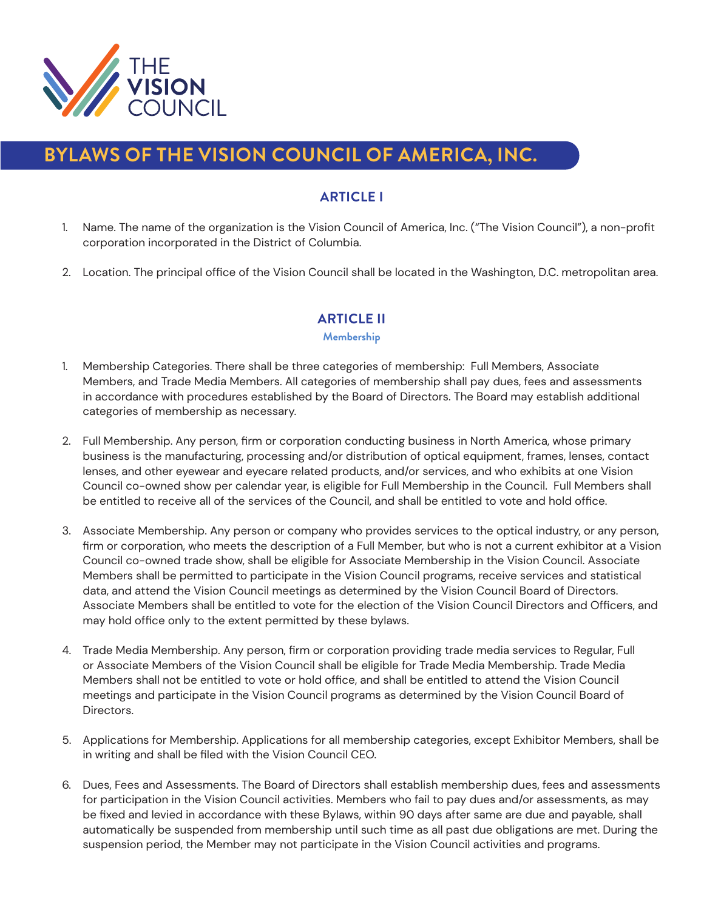

# **BYLAWS OF THE VISION COUNCIL OF AMERICA, INC.**

# **ARTICLE I**

- 1. Name. The name of the organization is the Vision Council of America, Inc. ("The Vision Council"), a non-profit corporation incorporated in the District of Columbia.
- 2. Location. The principal office of the Vision Council shall be located in the Washington, D.C. metropolitan area.

# **ARTICLE II**

#### **Membership**

- 1. Membership Categories. There shall be three categories of membership: Full Members, Associate Members, and Trade Media Members. All categories of membership shall pay dues, fees and assessments in accordance with procedures established by the Board of Directors. The Board may establish additional categories of membership as necessary.
- 2. Full Membership. Any person, firm or corporation conducting business in North America, whose primary business is the manufacturing, processing and/or distribution of optical equipment, frames, lenses, contact lenses, and other eyewear and eyecare related products, and/or services, and who exhibits at one Vision Council co-owned show per calendar year, is eligible for Full Membership in the Council. Full Members shall be entitled to receive all of the services of the Council, and shall be entitled to vote and hold office.
- 3. Associate Membership. Any person or company who provides services to the optical industry, or any person, firm or corporation, who meets the description of a Full Member, but who is not a current exhibitor at a Vision Council co-owned trade show, shall be eligible for Associate Membership in the Vision Council. Associate Members shall be permitted to participate in the Vision Council programs, receive services and statistical data, and attend the Vision Council meetings as determined by the Vision Council Board of Directors. Associate Members shall be entitled to vote for the election of the Vision Council Directors and Officers, and may hold office only to the extent permitted by these bylaws.
- 4. Trade Media Membership. Any person, firm or corporation providing trade media services to Regular, Full or Associate Members of the Vision Council shall be eligible for Trade Media Membership. Trade Media Members shall not be entitled to vote or hold office, and shall be entitled to attend the Vision Council meetings and participate in the Vision Council programs as determined by the Vision Council Board of Directors.
- 5. Applications for Membership. Applications for all membership categories, except Exhibitor Members, shall be in writing and shall be filed with the Vision Council CEO.
- 6. Dues, Fees and Assessments. The Board of Directors shall establish membership dues, fees and assessments for participation in the Vision Council activities. Members who fail to pay dues and/or assessments, as may be fixed and levied in accordance with these Bylaws, within 90 days after same are due and payable, shall automatically be suspended from membership until such time as all past due obligations are met. During the suspension period, the Member may not participate in the Vision Council activities and programs.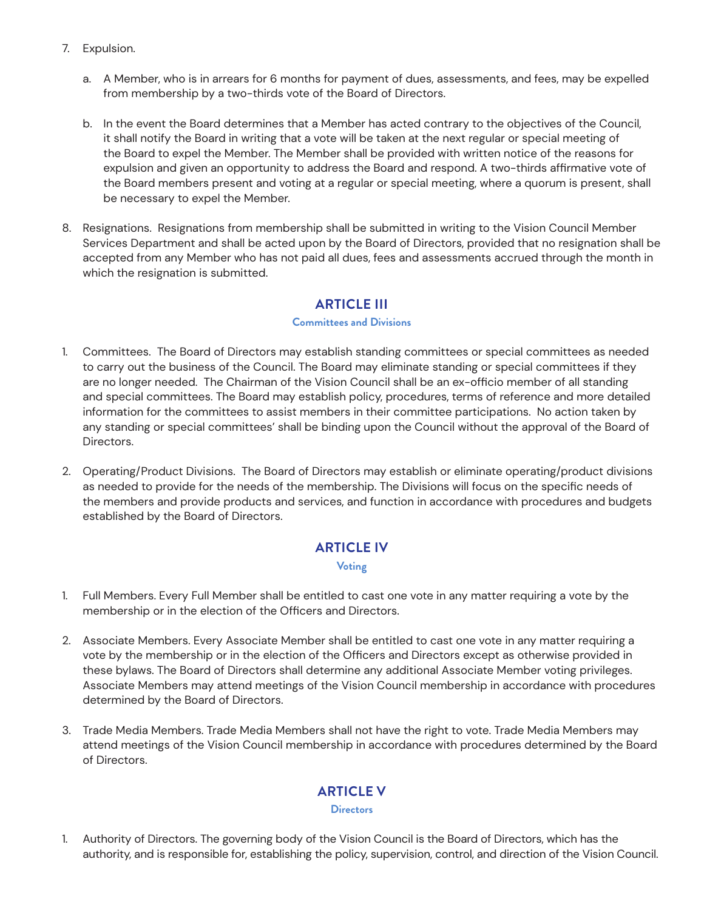- 7. Expulsion.
	- a. A Member, who is in arrears for 6 months for payment of dues, assessments, and fees, may be expelled from membership by a two-thirds vote of the Board of Directors.
	- b. In the event the Board determines that a Member has acted contrary to the objectives of the Council, it shall notify the Board in writing that a vote will be taken at the next regular or special meeting of the Board to expel the Member. The Member shall be provided with written notice of the reasons for expulsion and given an opportunity to address the Board and respond. A two-thirds affirmative vote of the Board members present and voting at a regular or special meeting, where a quorum is present, shall be necessary to expel the Member.
- 8. Resignations. Resignations from membership shall be submitted in writing to the Vision Council Member Services Department and shall be acted upon by the Board of Directors, provided that no resignation shall be accepted from any Member who has not paid all dues, fees and assessments accrued through the month in which the resignation is submitted.

### **ARTICLE III**

#### **Committees and Divisions**

- 1. Committees. The Board of Directors may establish standing committees or special committees as needed to carry out the business of the Council. The Board may eliminate standing or special committees if they are no longer needed. The Chairman of the Vision Council shall be an ex-officio member of all standing and special committees. The Board may establish policy, procedures, terms of reference and more detailed information for the committees to assist members in their committee participations. No action taken by any standing or special committees' shall be binding upon the Council without the approval of the Board of Directors.
- 2. Operating/Product Divisions. The Board of Directors may establish or eliminate operating/product divisions as needed to provide for the needs of the membership. The Divisions will focus on the specific needs of the members and provide products and services, and function in accordance with procedures and budgets established by the Board of Directors.

### **ARTICLE IV**

#### **Voting**

- 1. Full Members. Every Full Member shall be entitled to cast one vote in any matter requiring a vote by the membership or in the election of the Officers and Directors.
- 2. Associate Members. Every Associate Member shall be entitled to cast one vote in any matter requiring a vote by the membership or in the election of the Officers and Directors except as otherwise provided in these bylaws. The Board of Directors shall determine any additional Associate Member voting privileges. Associate Members may attend meetings of the Vision Council membership in accordance with procedures determined by the Board of Directors.
- 3. Trade Media Members. Trade Media Members shall not have the right to vote. Trade Media Members may attend meetings of the Vision Council membership in accordance with procedures determined by the Board of Directors.

# **ARTICLE V**

#### **Directors**

1. Authority of Directors. The governing body of the Vision Council is the Board of Directors, which has the authority, and is responsible for, establishing the policy, supervision, control, and direction of the Vision Council.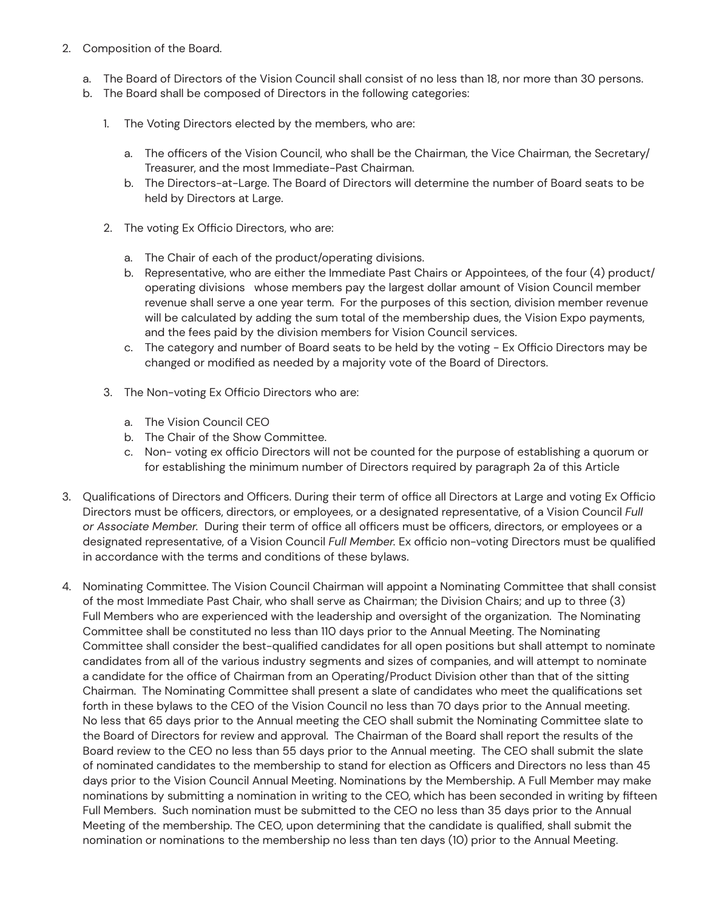- 2. Composition of the Board.
	- a. The Board of Directors of the Vision Council shall consist of no less than 18, nor more than 30 persons.
	- b. The Board shall be composed of Directors in the following categories:
		- 1. The Voting Directors elected by the members, who are:
			- a. The officers of the Vision Council, who shall be the Chairman, the Vice Chairman, the Secretary/ Treasurer, and the most Immediate-Past Chairman.
			- b. The Directors-at-Large. The Board of Directors will determine the number of Board seats to be held by Directors at Large.
		- 2. The voting Ex Officio Directors, who are:
			- a. The Chair of each of the product/operating divisions.
			- b. Representative, who are either the Immediate Past Chairs or Appointees, of the four (4) product/ operating divisions whose members pay the largest dollar amount of Vision Council member revenue shall serve a one year term. For the purposes of this section, division member revenue will be calculated by adding the sum total of the membership dues, the Vision Expo payments, and the fees paid by the division members for Vision Council services.
			- c. The category and number of Board seats to be held by the voting Ex Officio Directors may be changed or modified as needed by a majority vote of the Board of Directors.
		- 3. The Non-voting Ex Officio Directors who are:
			- a. The Vision Council CEO
			- b. The Chair of the Show Committee.
			- c. Non- voting ex officio Directors will not be counted for the purpose of establishing a quorum or for establishing the minimum number of Directors required by paragraph 2a of this Article
- 3. Qualifications of Directors and Officers. During their term of office all Directors at Large and voting Ex Officio Directors must be officers, directors, or employees, or a designated representative, of a Vision Council *Full or Associate Member.* During their term of office all officers must be officers, directors, or employees or a designated representative, of a Vision Council *Full Member.* Ex officio non-voting Directors must be qualified in accordance with the terms and conditions of these bylaws.
- 4. Nominating Committee. The Vision Council Chairman will appoint a Nominating Committee that shall consist of the most Immediate Past Chair, who shall serve as Chairman; the Division Chairs; and up to three (3) Full Members who are experienced with the leadership and oversight of the organization. The Nominating Committee shall be constituted no less than 110 days prior to the Annual Meeting. The Nominating Committee shall consider the best-qualified candidates for all open positions but shall attempt to nominate candidates from all of the various industry segments and sizes of companies, and will attempt to nominate a candidate for the office of Chairman from an Operating/Product Division other than that of the sitting Chairman. The Nominating Committee shall present a slate of candidates who meet the qualifications set forth in these bylaws to the CEO of the Vision Council no less than 70 days prior to the Annual meeting. No less that 65 days prior to the Annual meeting the CEO shall submit the Nominating Committee slate to the Board of Directors for review and approval. The Chairman of the Board shall report the results of the Board review to the CEO no less than 55 days prior to the Annual meeting. The CEO shall submit the slate of nominated candidates to the membership to stand for election as Officers and Directors no less than 45 days prior to the Vision Council Annual Meeting. Nominations by the Membership. A Full Member may make nominations by submitting a nomination in writing to the CEO, which has been seconded in writing by fifteen Full Members. Such nomination must be submitted to the CEO no less than 35 days prior to the Annual Meeting of the membership. The CEO, upon determining that the candidate is qualified, shall submit the nomination or nominations to the membership no less than ten days (10) prior to the Annual Meeting.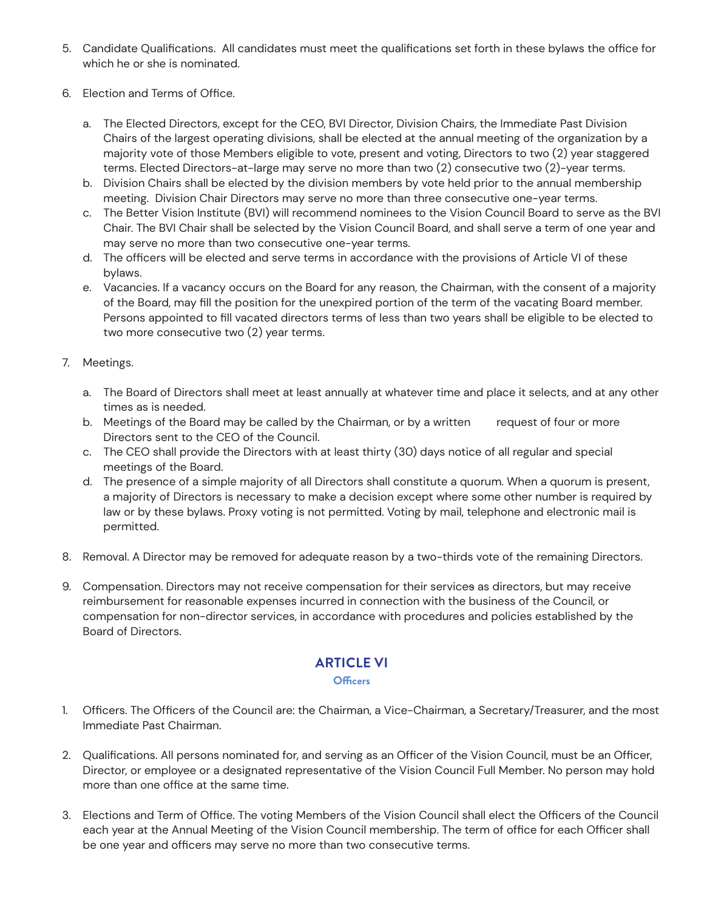- 5. Candidate Qualifications. All candidates must meet the qualifications set forth in these bylaws the office for which he or she is nominated.
- 6. Election and Terms of Office.
	- a. The Elected Directors, except for the CEO, BVI Director, Division Chairs, the Immediate Past Division Chairs of the largest operating divisions, shall be elected at the annual meeting of the organization by a majority vote of those Members eligible to vote, present and voting, Directors to two (2) year staggered terms. Elected Directors-at-large may serve no more than two (2) consecutive two (2)-year terms.
	- b. Division Chairs shall be elected by the division members by vote held prior to the annual membership meeting. Division Chair Directors may serve no more than three consecutive one-year terms.
	- c. The Better Vision Institute (BVI) will recommend nominees to the Vision Council Board to serve as the BVI Chair. The BVI Chair shall be selected by the Vision Council Board, and shall serve a term of one year and may serve no more than two consecutive one-year terms.
	- d. The officers will be elected and serve terms in accordance with the provisions of Article VI of these bylaws.
	- e. Vacancies. If a vacancy occurs on the Board for any reason, the Chairman, with the consent of a majority of the Board, may fill the position for the unexpired portion of the term of the vacating Board member. Persons appointed to fill vacated directors terms of less than two years shall be eligible to be elected to two more consecutive two (2) year terms.

#### 7. Meetings.

- a. The Board of Directors shall meet at least annually at whatever time and place it selects, and at any other times as is needed.
- b. Meetings of the Board may be called by the Chairman, or by a written request of four or more Directors sent to the CEO of the Council.
- c. The CEO shall provide the Directors with at least thirty (30) days notice of all regular and special meetings of the Board.
- d. The presence of a simple majority of all Directors shall constitute a quorum. When a quorum is present, a majority of Directors is necessary to make a decision except where some other number is required by law or by these bylaws. Proxy voting is not permitted. Voting by mail, telephone and electronic mail is permitted.
- 8. Removal. A Director may be removed for adequate reason by a two-thirds vote of the remaining Directors.
- 9. Compensation. Directors may not receive compensation for their services as directors, but may receive reimbursement for reasonable expenses incurred in connection with the business of the Council, or compensation for non-director services, in accordance with procedures and policies established by the Board of Directors.

# **ARTICLE VI**

#### **Officers**

- 1. Officers. The Officers of the Council are: the Chairman, a Vice-Chairman, a Secretary/Treasurer, and the most Immediate Past Chairman.
- 2. Qualifications. All persons nominated for, and serving as an Officer of the Vision Council, must be an Officer, Director, or employee or a designated representative of the Vision Council Full Member. No person may hold more than one office at the same time.
- 3. Elections and Term of Office. The voting Members of the Vision Council shall elect the Officers of the Council each year at the Annual Meeting of the Vision Council membership. The term of office for each Officer shall be one year and officers may serve no more than two consecutive terms.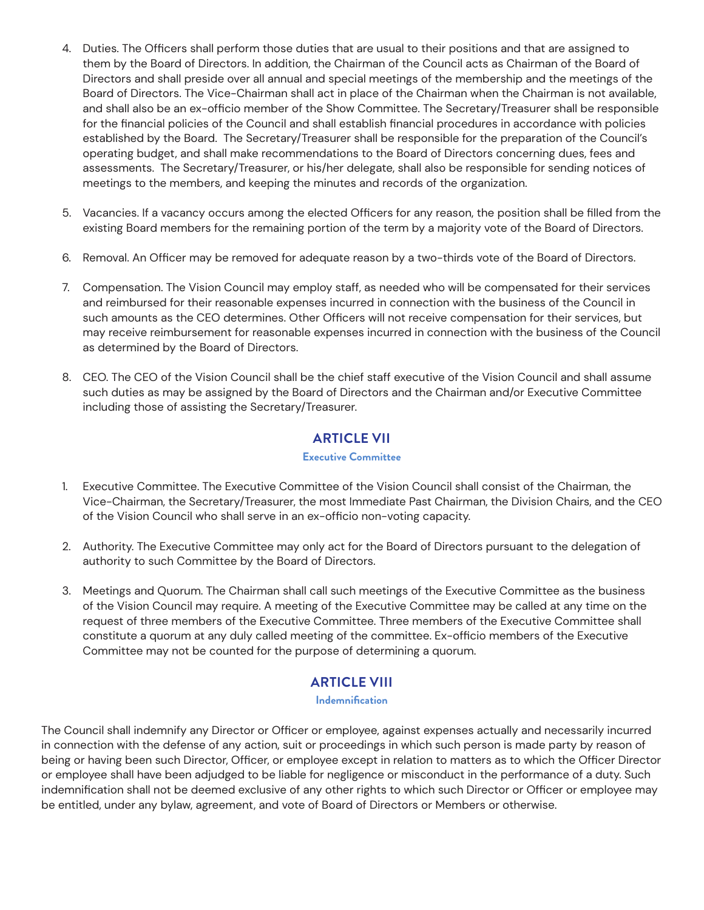- 4. Duties. The Officers shall perform those duties that are usual to their positions and that are assigned to them by the Board of Directors. In addition, the Chairman of the Council acts as Chairman of the Board of Directors and shall preside over all annual and special meetings of the membership and the meetings of the Board of Directors. The Vice-Chairman shall act in place of the Chairman when the Chairman is not available, and shall also be an ex-officio member of the Show Committee. The Secretary/Treasurer shall be responsible for the financial policies of the Council and shall establish financial procedures in accordance with policies established by the Board. The Secretary/Treasurer shall be responsible for the preparation of the Council's operating budget, and shall make recommendations to the Board of Directors concerning dues, fees and assessments. The Secretary/Treasurer, or his/her delegate, shall also be responsible for sending notices of meetings to the members, and keeping the minutes and records of the organization.
- 5. Vacancies. If a vacancy occurs among the elected Officers for any reason, the position shall be filled from the existing Board members for the remaining portion of the term by a majority vote of the Board of Directors.
- 6. Removal. An Officer may be removed for adequate reason by a two-thirds vote of the Board of Directors.
- 7. Compensation. The Vision Council may employ staff, as needed who will be compensated for their services and reimbursed for their reasonable expenses incurred in connection with the business of the Council in such amounts as the CEO determines. Other Officers will not receive compensation for their services, but may receive reimbursement for reasonable expenses incurred in connection with the business of the Council as determined by the Board of Directors.
- 8. CEO. The CEO of the Vision Council shall be the chief staff executive of the Vision Council and shall assume such duties as may be assigned by the Board of Directors and the Chairman and/or Executive Committee including those of assisting the Secretary/Treasurer.

# **ARTICLE VII**

#### **Executive Committee**

- 1. Executive Committee. The Executive Committee of the Vision Council shall consist of the Chairman, the Vice-Chairman, the Secretary/Treasurer, the most Immediate Past Chairman, the Division Chairs, and the CEO of the Vision Council who shall serve in an ex-officio non-voting capacity.
- 2. Authority. The Executive Committee may only act for the Board of Directors pursuant to the delegation of authority to such Committee by the Board of Directors.
- 3. Meetings and Quorum. The Chairman shall call such meetings of the Executive Committee as the business of the Vision Council may require. A meeting of the Executive Committee may be called at any time on the request of three members of the Executive Committee. Three members of the Executive Committee shall constitute a quorum at any duly called meeting of the committee. Ex‑officio members of the Executive Committee may not be counted for the purpose of determining a quorum.

### **ARTICLE VIII**

#### **Indemnification**

The Council shall indemnify any Director or Officer or employee, against expenses actually and necessarily incurred in connection with the defense of any action, suit or proceedings in which such person is made party by reason of being or having been such Director, Officer, or employee except in relation to matters as to which the Officer Director or employee shall have been adjudged to be liable for negligence or misconduct in the performance of a duty. Such indemnification shall not be deemed exclusive of any other rights to which such Director or Officer or employee may be entitled, under any bylaw, agreement, and vote of Board of Directors or Members or otherwise.